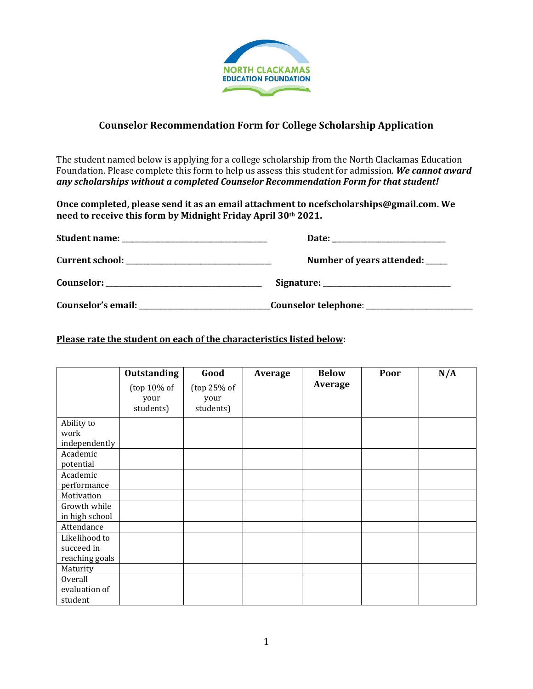

## **Counselor Recommendation Form for College Scholarship Application**

The student named below is applying for a college scholarship from the North Clackamas Education Foundation. Please complete this form to help us assess this student for admission. *We cannot award any scholarships without a completed Counselor Recommendation Form for that student!*

**Once completed, please send it as an email attachment to ncefscholarships@gmail.com. We need to receive this form by Midnight Friday April 30th 2021.**

|                    | Number of years attended: ____ |  |  |
|--------------------|--------------------------------|--|--|
|                    |                                |  |  |
| Counselor's email: |                                |  |  |

## **Please rate the student on each of the characteristics listed below:**

|                | <b>Outstanding</b>                  | Good                             | Average | <b>Below</b>   | Poor | N/A |
|----------------|-------------------------------------|----------------------------------|---------|----------------|------|-----|
|                | (top $10\%$ of<br>your<br>students) | (top 25% of<br>your<br>students) |         | <b>Average</b> |      |     |
| Ability to     |                                     |                                  |         |                |      |     |
| work           |                                     |                                  |         |                |      |     |
| independently  |                                     |                                  |         |                |      |     |
| Academic       |                                     |                                  |         |                |      |     |
| potential      |                                     |                                  |         |                |      |     |
| Academic       |                                     |                                  |         |                |      |     |
| performance    |                                     |                                  |         |                |      |     |
| Motivation     |                                     |                                  |         |                |      |     |
| Growth while   |                                     |                                  |         |                |      |     |
| in high school |                                     |                                  |         |                |      |     |
| Attendance     |                                     |                                  |         |                |      |     |
| Likelihood to  |                                     |                                  |         |                |      |     |
| succeed in     |                                     |                                  |         |                |      |     |
| reaching goals |                                     |                                  |         |                |      |     |
| Maturity       |                                     |                                  |         |                |      |     |
| <b>Overall</b> |                                     |                                  |         |                |      |     |
| evaluation of  |                                     |                                  |         |                |      |     |
| student        |                                     |                                  |         |                |      |     |